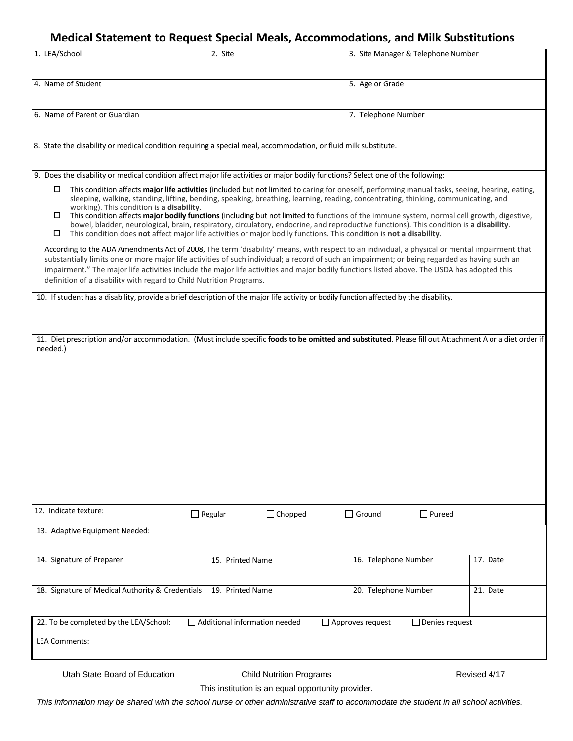# **Medical Statement to Request Special Meals, Accommodations, and Milk Substitutions**

| 1. LEA/School                                                                                                                                                                                                                                                                                                                                                                                                                                                                                                                                                                                                                                                                                                                                                                                                                                                                                                                                                                                                                                                                                                                                                                                                      | 2. Site                          | 3. Site Manager & Telephone Number |          |
|--------------------------------------------------------------------------------------------------------------------------------------------------------------------------------------------------------------------------------------------------------------------------------------------------------------------------------------------------------------------------------------------------------------------------------------------------------------------------------------------------------------------------------------------------------------------------------------------------------------------------------------------------------------------------------------------------------------------------------------------------------------------------------------------------------------------------------------------------------------------------------------------------------------------------------------------------------------------------------------------------------------------------------------------------------------------------------------------------------------------------------------------------------------------------------------------------------------------|----------------------------------|------------------------------------|----------|
| 4. Name of Student                                                                                                                                                                                                                                                                                                                                                                                                                                                                                                                                                                                                                                                                                                                                                                                                                                                                                                                                                                                                                                                                                                                                                                                                 |                                  | 5. Age or Grade                    |          |
| 6. Name of Parent or Guardian                                                                                                                                                                                                                                                                                                                                                                                                                                                                                                                                                                                                                                                                                                                                                                                                                                                                                                                                                                                                                                                                                                                                                                                      |                                  | 7. Telephone Number                |          |
| 8. State the disability or medical condition requiring a special meal, accommodation, or fluid milk substitute.                                                                                                                                                                                                                                                                                                                                                                                                                                                                                                                                                                                                                                                                                                                                                                                                                                                                                                                                                                                                                                                                                                    |                                  |                                    |          |
| 9. Does the disability or medical condition affect major life activities or major bodily functions? Select one of the following:                                                                                                                                                                                                                                                                                                                                                                                                                                                                                                                                                                                                                                                                                                                                                                                                                                                                                                                                                                                                                                                                                   |                                  |                                    |          |
| This condition affects major life activities (included but not limited to caring for oneself, performing manual tasks, seeing, hearing, eating,<br>□<br>sleeping, walking, standing, lifting, bending, speaking, breathing, learning, reading, concentrating, thinking, communicating, and<br>working). This condition is a disability.<br>This condition affects major bodily functions (including but not limited to functions of the immune system, normal cell growth, digestive,<br>□<br>bowel, bladder, neurological, brain, respiratory, circulatory, endocrine, and reproductive functions). This condition is a disability.<br>This condition does not affect major life activities or major bodily functions. This condition is not a disability.<br>□<br>According to the ADA Amendments Act of 2008, The term 'disability' means, with respect to an individual, a physical or mental impairment that<br>substantially limits one or more major life activities of such individual; a record of such an impairment; or being regarded as having such an<br>impairment." The major life activities include the major life activities and major bodily functions listed above. The USDA has adopted this |                                  |                                    |          |
| definition of a disability with regard to Child Nutrition Programs.                                                                                                                                                                                                                                                                                                                                                                                                                                                                                                                                                                                                                                                                                                                                                                                                                                                                                                                                                                                                                                                                                                                                                |                                  |                                    |          |
| 10. If student has a disability, provide a brief description of the major life activity or bodily function affected by the disability.<br>11. Diet prescription and/or accommodation. (Must include specific foods to be omitted and substituted. Please fill out Attachment A or a diet order if                                                                                                                                                                                                                                                                                                                                                                                                                                                                                                                                                                                                                                                                                                                                                                                                                                                                                                                  |                                  |                                    |          |
| needed.)<br>12. Indicate texture:                                                                                                                                                                                                                                                                                                                                                                                                                                                                                                                                                                                                                                                                                                                                                                                                                                                                                                                                                                                                                                                                                                                                                                                  |                                  |                                    |          |
|                                                                                                                                                                                                                                                                                                                                                                                                                                                                                                                                                                                                                                                                                                                                                                                                                                                                                                                                                                                                                                                                                                                                                                                                                    | $\Box$ Regular<br>$\Box$ Chopped | $\Box$ Ground<br>$\Box$ Pureed     |          |
| 13. Adaptive Equipment Needed:                                                                                                                                                                                                                                                                                                                                                                                                                                                                                                                                                                                                                                                                                                                                                                                                                                                                                                                                                                                                                                                                                                                                                                                     |                                  |                                    |          |
| 14. Signature of Preparer                                                                                                                                                                                                                                                                                                                                                                                                                                                                                                                                                                                                                                                                                                                                                                                                                                                                                                                                                                                                                                                                                                                                                                                          | 15. Printed Name                 | 16. Telephone Number               | 17. Date |
| 18. Signature of Medical Authority & Credentials                                                                                                                                                                                                                                                                                                                                                                                                                                                                                                                                                                                                                                                                                                                                                                                                                                                                                                                                                                                                                                                                                                                                                                   | 19. Printed Name                 | 20. Telephone Number               | 21. Date |
| 22. To be completed by the LEA/School:<br>$\Box$ Additional information needed<br>$\Box$ Denies request<br>$\Box$ Approves request                                                                                                                                                                                                                                                                                                                                                                                                                                                                                                                                                                                                                                                                                                                                                                                                                                                                                                                                                                                                                                                                                 |                                  |                                    |          |
| <b>LEA Comments:</b>                                                                                                                                                                                                                                                                                                                                                                                                                                                                                                                                                                                                                                                                                                                                                                                                                                                                                                                                                                                                                                                                                                                                                                                               |                                  |                                    |          |
|                                                                                                                                                                                                                                                                                                                                                                                                                                                                                                                                                                                                                                                                                                                                                                                                                                                                                                                                                                                                                                                                                                                                                                                                                    |                                  |                                    |          |

Utah State Board of Education Child Nutrition Programs

This institution is an equal opportunity provider.

This information may be shared with the school nurse or other administrative staff to accommodate the student in all school activities.